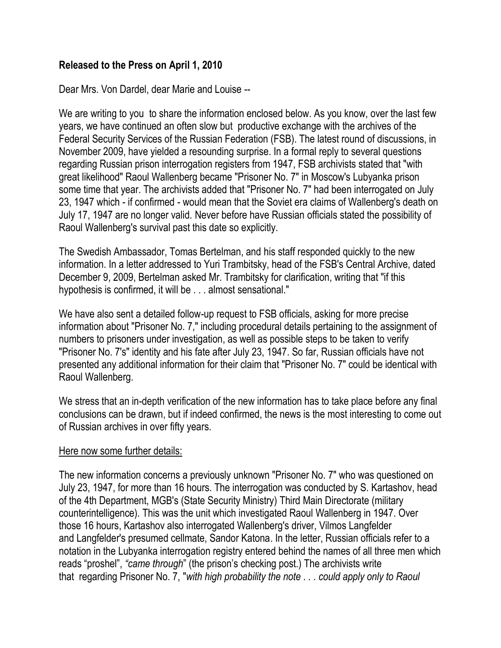### **Released to the Press on April 1, 2010**

Dear Mrs. Von Dardel, dear Marie and Louise --

We are writing to you to share the information enclosed below. As you know, over the last few years, we have continued an often slow but productive exchange with the archives of the Federal Security Services of the Russian Federation (FSB). The latest round of discussions, in November 2009, have yielded a resounding surprise. In a formal reply to several questions regarding Russian prison interrogation registers from 1947, FSB archivists stated that "with great likelihood" Raoul Wallenberg became "Prisoner No. 7" in Moscow's Lubyanka prison some time that year. The archivists added that "Prisoner No. 7" had been interrogated on July 23, 1947 which - if confirmed - would mean that the Soviet era claims of Wallenberg's death on July 17, 1947 are no longer valid. Never before have Russian officials stated the possibility of Raoul Wallenberg's survival past this date so explicitly.

The Swedish Ambassador, Tomas Bertelman, and his staff responded quickly to the new information. In a letter addressed to Yuri Trambitsky, head of the FSB's Central Archive, dated December 9, 2009, Bertelman asked Mr. Trambitsky for clarification, writing that "if this hypothesis is confirmed, it will be . . . almost sensational."

We have also sent a detailed follow-up request to FSB officials, asking for more precise information about "Prisoner No. 7," including procedural details pertaining to the assignment of numbers to prisoners under investigation, as well as possible steps to be taken to verify "Prisoner No. 7's" identity and his fate after July 23, 1947. So far, Russian officials have not presented any additional information for their claim that "Prisoner No. 7" could be identical with Raoul Wallenberg.

We stress that an in-depth verification of the new information has to take place before any final conclusions can be drawn, but if indeed confirmed, the news is the most interesting to come out of Russian archives in over fifty years.

#### Here now some further details:

The new information concerns a previously unknown "Prisoner No. 7" who was questioned on July 23, 1947, for more than 16 hours. The interrogation was conducted by S. Kartashov, head of the 4th Department, MGB's (State Security Ministry) Third Main Directorate (military counterintelligence). This was the unit which investigated Raoul Wallenberg in 1947. Over those 16 hours, Kartashov also interrogated Wallenberg's driver, Vilmos Langfelder and Langfelder's presumed cellmate, Sandor Katona. In the letter, Russian officials refer to a notation in the Lubyanka interrogation registry entered behind the names of all three men which reads "proshel", *"came through*" (the prison's checking post.) The archivists write that regarding Prisoner No. 7, "*with high probability the note . . . could apply only to Raoul*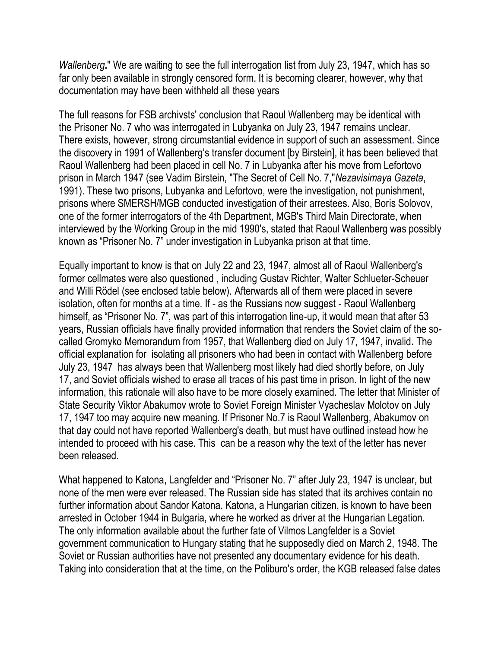*Wallenberg***.**" We are waiting to see the full interrogation list from July 23, 1947, which has so far only been available in strongly censored form. It is becoming clearer, however, why that documentation may have been withheld all these years

The full reasons for FSB archivsts' conclusion that Raoul Wallenberg may be identical with the Prisoner No. 7 who was interrogated in Lubyanka on July 23, 1947 remains unclear. There exists, however, strong circumstantial evidence in support of such an assessment. Since the discovery in 1991 of Wallenberg's transfer document [by Birstein], it has been believed that Raoul Wallenberg had been placed in cell No. 7 in Lubyanka after his move from Lefortovo prison in March 1947 (see Vadim Birstein, "The Secret of Cell No. 7,"*Nezavisimaya Gazeta*, 1991). These two prisons, Lubyanka and Lefortovo, were the investigation, not punishment, prisons where SMERSH/MGB conducted investigation of their arrestees. Also, Boris Solovov, one of the former interrogators of the 4th Department, MGB's Third Main Directorate, when interviewed by the Working Group in the mid 1990's, stated that Raoul Wallenberg was possibly known as "Prisoner No. 7" under investigation in Lubyanka prison at that time.

Equally important to know is that on July 22 and 23, 1947, almost all of Raoul Wallenberg's former cellmates were also questioned , including Gustav Richter, Walter Schlueter-Scheuer and Willi Rödel (see enclosed table below). Afterwards all of them were placed in severe isolation, often for months at a time. If - as the Russians now suggest - Raoul Wallenberg himself, as "Prisoner No. 7", was part of this interrogation line-up, it would mean that after 53 years, Russian officials have finally provided information that renders the Soviet claim of the socalled Gromyko Memorandum from 1957, that Wallenberg died on July 17, 1947, invalid**.** The official explanation for isolating all prisoners who had been in contact with Wallenberg before July 23, 1947 has always been that Wallenberg most likely had died shortly before, on July 17, and Soviet officials wished to erase all traces of his past time in prison. In light of the new information, this rationale will also have to be more closely examined. The letter that Minister of State Security Viktor Abakumov wrote to Soviet Foreign Minister Vyacheslav Molotov on July 17, 1947 too may acquire new meaning. If Prisoner No.7 is Raoul Wallenberg, Abakumov on that day could not have reported Wallenberg's death, but must have outlined instead how he intended to proceed with his case. This can be a reason why the text of the letter has never been released.

What happened to Katona, Langfelder and "Prisoner No. 7" after July 23, 1947 is unclear, but none of the men were ever released. The Russian side has stated that its archives contain no further information about Sandor Katona. Katona, a Hungarian citizen, is known to have been arrested in October 1944 in Bulgaria, where he worked as driver at the Hungarian Legation. The only information available about the further fate of Vilmos Langfelder is a Soviet government communication to Hungary stating that he supposedly died on March 2, 1948. The Soviet or Russian authorities have not presented any documentary evidence for his death. Taking into consideration that at the time, on the Poliburo's order, the KGB released false dates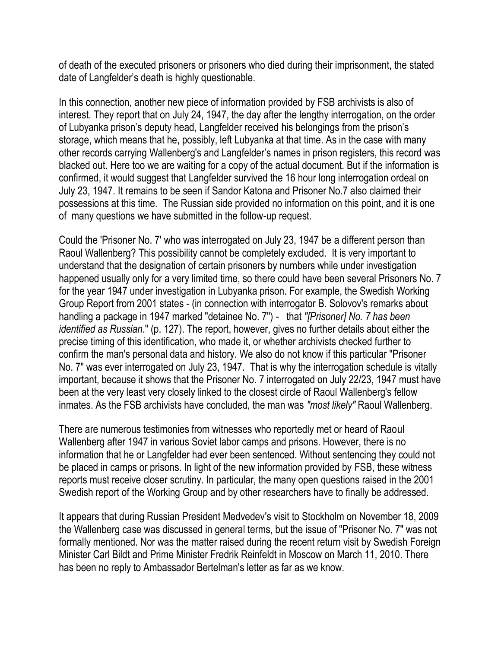of death of the executed prisoners or prisoners who died during their imprisonment, the stated date of Langfelder's death is highly questionable.

In this connection, another new piece of information provided by FSB archivists is also of interest. They report that on July 24, 1947, the day after the lengthy interrogation, on the order of Lubyanka prison's deputy head, Langfelder received his belongings from the prison's storage, which means that he, possibly, left Lubyanka at that time. As in the case with many other records carrying Wallenberg's and Langfelder's names in prison registers, this record was blacked out. Here too we are waiting for a copy of the actual document. But if the information is confirmed, it would suggest that Langfelder survived the 16 hour long interrogation ordeal on July 23, 1947. It remains to be seen if Sandor Katona and Prisoner No.7 also claimed their possessions at this time. The Russian side provided no information on this point, and it is one of many questions we have submitted in the follow-up request.

Could the 'Prisoner No. 7' who was interrogated on July 23, 1947 be a different person than Raoul Wallenberg? This possibility cannot be completely excluded. It is very important to understand that the designation of certain prisoners by numbers while under investigation happened usually only for a very limited time, so there could have been several Prisoners No. 7 for the year 1947 under investigation in Lubyanka prison. For example, the Swedish Working Group Report from 2001 states - (in connection with interrogator B. Solovov's remarks about handling a package in 1947 marked "detainee No. 7") - that *"[Prisoner] No. 7 has been identified as Russian*." (p. 127). The report, however, gives no further details about either the precise timing of this identification, who made it, or whether archivists checked further to confirm the man's personal data and history. We also do not know if this particular "Prisoner No. 7" was ever interrogated on July 23, 1947. That is why the interrogation schedule is vitally important, because it shows that the Prisoner No. 7 interrogated on July 22/23, 1947 must have been at the very least very closely linked to the closest circle of Raoul Wallenberg's fellow inmates. As the FSB archivists have concluded, the man was *"most likely"* Raoul Wallenberg.

There are numerous testimonies from witnesses who reportedly met or heard of Raoul Wallenberg after 1947 in various Soviet labor camps and prisons. However, there is no information that he or Langfelder had ever been sentenced. Without sentencing they could not be placed in camps or prisons. In light of the new information provided by FSB, these witness reports must receive closer scrutiny. In particular, the many open questions raised in the 2001 Swedish report of the Working Group and by other researchers have to finally be addressed.

It appears that during Russian President Medvedev's visit to Stockholm on November 18, 2009 the Wallenberg case was discussed in general terms, but the issue of "Prisoner No. 7" was not formally mentioned. Nor was the matter raised during the recent return visit by Swedish Foreign Minister Carl Bildt and Prime Minister Fredrik Reinfeldt in Moscow on March 11, 2010. There has been no reply to Ambassador Bertelman's letter as far as we know.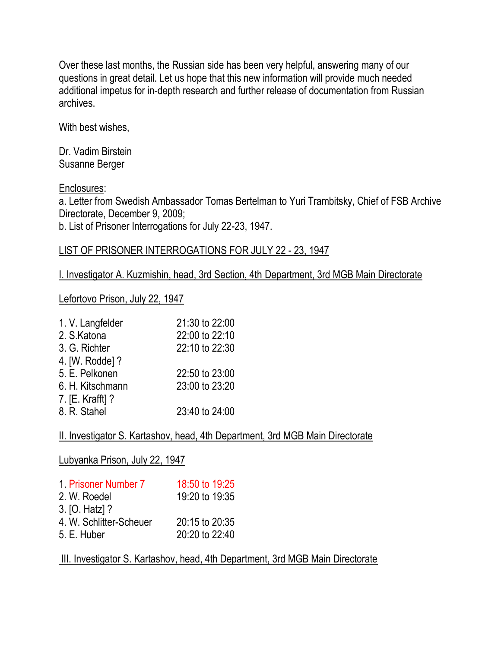Over these last months, the Russian side has been very helpful, answering many of our questions in great detail. Let us hope that this new information will provide much needed additional impetus for in-depth research and further release of documentation from Russian archives.

With best wishes,

Dr. Vadim Birstein Susanne Berger

Enclosures:

a. Letter from Swedish Ambassador Tomas Bertelman to Yuri Trambitsky, Chief of FSB Archive Directorate, December 9, 2009;

b. List of Prisoner Interrogations for July 22-23, 1947.

#### LIST OF PRISONER INTERROGATIONS FOR JULY 22 - 23, 1947

I. Investigator A. Kuzmishin, head, 3rd Section, 4th Department, 3rd MGB Main Directorate

Lefortovo Prison, July 22, 1947

| 1. V. Langfelder | 21:30 to 22:00 |
|------------------|----------------|
| 2. S.Katona      | 22:00 to 22:10 |
| 3. G. Richter    | 22:10 to 22:30 |
| 4. [W. Rodde] ?  |                |
| 5. E. Pelkonen   | 22:50 to 23:00 |
| 6. H. Kitschmann | 23:00 to 23:20 |
| 7. [E. Krafft] ? |                |
| 8. R. Stahel     | 23:40 to 24:00 |
|                  |                |

II. Investigator S. Kartashov, head, 4th Department, 3rd MGB Main Directorate

Lubyanka Prison, July 22, 1947

| 1. Prisoner Number 7    | 18:50 to 19:25 |
|-------------------------|----------------|
| 2. W. Roedel            | 19:20 to 19:35 |
| 3. [O. Hatz] ?          |                |
| 4. W. Schlitter-Scheuer | 20:15 to 20:35 |
| 5. E. Huber             | 20:20 to 22:40 |

## III. Investigator S. Kartashov, head, 4th Department, 3rd MGB Main Directorate